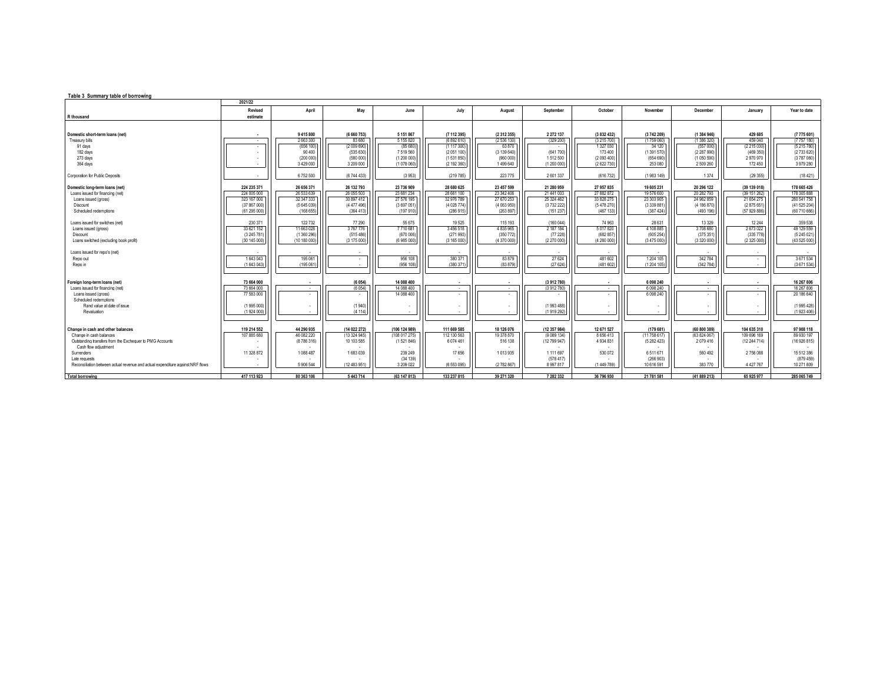| Table 3 Summary table of borrowing                                             |              |               |              |               |               |             |               |                     |                        |              |              |              |
|--------------------------------------------------------------------------------|--------------|---------------|--------------|---------------|---------------|-------------|---------------|---------------------|------------------------|--------------|--------------|--------------|
|                                                                                | 2021/22      |               |              |               |               |             |               |                     |                        |              |              |              |
|                                                                                | Revised      | April         | May          | June          | July          | August      | September     | October             | November               | December     | January      | Year to date |
| R thousand                                                                     | estimate     |               |              |               |               |             |               |                     |                        |              |              |              |
|                                                                                |              |               |              |               |               |             |               |                     |                        |              |              |              |
| Domestic short-term loans (net)                                                | $\sim$       | 9 415 800     | (6 660 753)  | 5 151 867     | (7 112 395)   | (2 312 355) | 2 2 7 2 1 3 7 | (3 832 432)         | (3742 209)             | (1384946)    | 429 685      | (7775601)    |
| Treasury bills                                                                 | <b>COL</b>   | 2663300       | 83 6 80      | 5 155 820     | (6892610)     | (2536130)   | (329 200)     | (3215700)           | (1759060)              | (1 386 320)  | 459 040      | (7757180)    |
| 91 days                                                                        |              | (656 100)     | (2009690)    | (85680)       | (1 117 300)   | 63 870      |               | 1 327 030           | 34 120                 | (557000)     | (2215030)    | (5215780)    |
| 182 days                                                                       |              | 90 400        | (535630)     | 7519560       | (2051100)     | (3139640)   | (641700)      | 173 400             | (1391570)              | (2 287 990)  | (469 350)    | (2733 620)   |
| 273 days                                                                       |              | (200000)      | (580000)     | (1 200 000)   | (1531850)     | (960000)    | 1512500       | (2093400)           | (654690)               | (1050590)    | 2970970      | (3787060)    |
| 364 days                                                                       |              | 3 4 2 9 0 0 0 | 3 209 000    | (1 078 060)   | (2 192 360)   | 1499640     | (1200000)     | (2 622 730)         | 253 080                | 2 509 260    | 172 450      | 3 979 280    |
|                                                                                |              |               |              |               |               |             |               |                     |                        |              |              |              |
| Corporation for Public Deposits                                                |              | 6752500       | (6 744 433)  | (3953)        | (219785)      | 223 775     | 2601337       | (616 732)           | (1983 149)             | 1 3 7 4      | (29355)      | (18421)      |
| Domestic long-term loans (net)                                                 | 224 235 371  | 26 656 371    | 26 132 793   | 23 736 909    | 28 680 625    | 23 457 599  | 21 280 959    | 27 957 835          | 19 605 231             | 20 296 122   | (39 139 018) | 178 665 426  |
| Loans issued for financing (net)                                               | 224 005 000  | 26 533 639    | 26 055 503   | 23 681 234    | 28 661 100    | 23 342 406  | 21 441 003    | 27 882 872          | 19 576 600             | 20 282 793   | (39 151 262) | 178 305 888  |
| Loans issued (gross)                                                           | 323 167 000  | 32 347 333    | 30 897 412   | 27 576 195    | 32 976 789    | 27 670 253  | 25 324 462    | 33 828 275          | 23 303 905             | 24 962 859   | 21 654 275   | 280 541 758  |
| Discount                                                                       | (37 867 000) | (5 645 039)   | (4 477 496)  | (3697051      | (4 028 774)   | (4063950)   | (3732222)     | (5478270)           | (3 339 881)            | (4 186 870)  | (2875651)    | (41525204)   |
| Scheduled redemptions                                                          | (61295000)   | (168655)      | (364413)     | (197910)      | (286915)      | (263 897)   | (151 237)     | (467 133)           | (387 424)              | (493 196)    | (57 929 886) | (60 710 666) |
|                                                                                |              |               |              |               |               |             |               |                     |                        |              |              |              |
| Loans issued for switches (net)                                                | 230 371      | 122 732       | 77 290       | 55 675        | 19525         | 115 193     | (160044)      | 74 963              | 28 631                 | 13 3 29      | 12 244       | 359 538      |
| Loans issued (gross)                                                           | 33 621 152   | 11 663 028    | 3767776      | 7710681       | 3 4 5 6 5 1 8 | 4 835 965   | 2 187 184     | 5017820             | 4 108 885              | 3708 680     | 2673022      | 49 129 559   |
| Discount                                                                       | (3 245 781)  | (1 360 296)   | (515486)     | (670006)      | (271993)      | (350 772)   | (77228)       | (682 857            | (605 254)              | (375351)     | (335778)     | (5245021)    |
| Loans switched (excluding book profit)                                         | (30145000)   | (10 180 000)  | (3175000)    | (6 985 000)   | (3165000)     | (4370000)   | (2 270 000)   | (4260000)           | (3475000)              | (3320000)    | (2325000)    | (43 525 000) |
|                                                                                |              |               |              |               |               |             |               |                     |                        |              |              |              |
| Loans issued for repo's (net)                                                  | 1643043      | 195 061       |              | 956 108       | 380 371       | 83 879      | 27 6 24       |                     |                        | 342 784      |              | 3671534      |
| Repo out<br>Repo in                                                            | (1643043)    | (195061)      | <b>COL</b>   | (956 108)     | (380 371      | (83 879)    | (27624)       | 481 602<br>(481602) | 1 204 105<br>(1204105) | (342 784)    |              | (3671534)    |
|                                                                                |              |               |              |               |               |             |               |                     |                        |              |              |              |
|                                                                                |              |               |              |               |               |             |               |                     |                        |              |              |              |
| Foreign long-term loans (net)                                                  | 73 664 000   | $\sim$        | (6054)       | 14 088 400    | $\sim$        | $\sim$      | (3 912 780)   | $\cdot$             | 6 098 240              | . .          | $\mathbf{r}$ | 16 267 806   |
| Loans issued for financing (net)                                               | 73 664 000   | . .           | (6054)       | 14 088 400    | <b>A</b>      | . .         | (3912780)     | $\mathbf{r}$        | 6 0 98 2 40            | . .          | . .          | 16 267 806   |
| Loans issued (gross)                                                           | 77 583 000   |               |              | 14 088 400    |               |             |               |                     | 6 0 9 8 2 4 0          |              |              | 20 186 640   |
| Scheduled redemptions                                                          |              |               |              |               |               |             |               |                     |                        |              |              |              |
| Rand value at date of issue                                                    | (1995000)    |               | (1940)       |               |               |             | (1993488)     |                     |                        |              |              | (1 995 428)  |
| Revaluation                                                                    | (1924000)    |               | (4 114)      |               |               |             | (1919 292)    |                     |                        |              |              | (1923406)    |
|                                                                                |              |               |              |               |               |             |               |                     |                        |              |              |              |
| Change in cash and other balances                                              | 119 214 552  | 44 290 935    | (14 022 272) | (106 124 989) | 111 669 585   | 18 126 076  | (12 357 984)  | 12 671 527          | (179681)               | (60 800 389) | 104 635 310  | 97 908 118   |
| Change in cash balances                                                        | 107 885 680  | 46 082 220    | (13324945)   | (108 017 275) | 112 130 563   | 19 378 870  | (9 089 134)   | 8 6 5 6 4 1 3       | (11758617)             | (63 824 067) | 109 696 169  | 89 930 197   |
| Outstanding transfers from the Exchequer to PMG Accounts                       |              | (8786316)     | 10 103 585   | (1521846)     | 6 074 461     | 516 138     | (12 799 947)  | 4 934 831           | (5282423)              | 2079 416     | (12 244 714) | (16926815)   |
| Cash flow adjustment                                                           |              |               |              |               |               |             |               |                     |                        |              |              |              |
| Surrenders                                                                     | 11 328 872   | 1088 487      | 1683039      | 239 249       | 17656         | 1013935     | 1 111 697     | 530 072             | 6511671                | 560 492      | 2756088      | 15 512 386   |
| Late requests                                                                  |              |               |              | (34 139)      |               |             | (578.417)     |                     | (266903)               |              |              | (879.459)    |
| Reconciliation between actual revenue and actual expenditure against NRF flows |              | 5 906 544     | (12 483 951) | 3 209 0 22    | (6553095)     | (2 782 867) | 8 9 9 7 8 1 7 | (1 449 789)         | 10 616 591             | 383770       | 4 427 767    | 10 271 809   |
|                                                                                |              |               |              |               |               |             |               |                     |                        |              |              |              |
| <b>Total borrowing</b>                                                         | 417 113 923  | 80 363 106    | 5443714      | (63 147 813)  | 133 237 815   | 39 271 320  | 7 282 332     | 36 796 930          | 21 781 581             | (41 889 213) | 65 925 977   | 285 065 749  |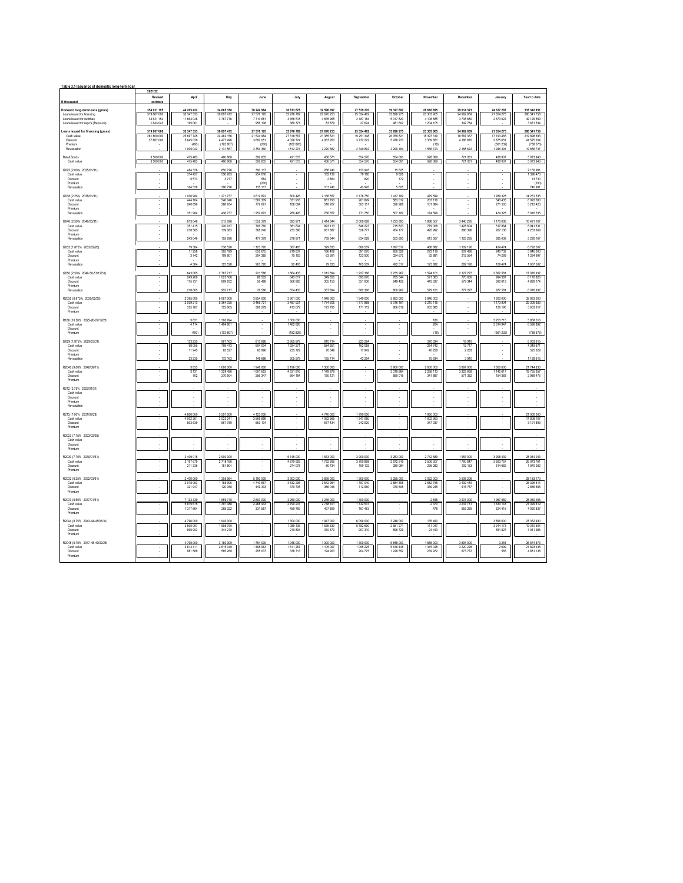| Table 3.1 Issuance of domestic long-term loan                   | 2021/22                 |                       |                        |                        |                        |                        |                        |                            |                            |                        |                        |                          |
|-----------------------------------------------------------------|-------------------------|-----------------------|------------------------|------------------------|------------------------|------------------------|------------------------|----------------------------|----------------------------|------------------------|------------------------|--------------------------|
| R thousand                                                      | Revised<br>estimate     | April                 | May                    | June                   | July                   | August                 | September              | October                    | November                   | December               | January                | Year to date             |
| Domestic long-term loans (gross)                                | 354 931 195             | 44 205 422            | 34 665 188             | 36 242 984             | 36 813 678             | 32 590 097             | 27 539 270             | 39 327 697                 | 28 616 895                 | 29 014 323             | 24 327 297             | 333 342 851              |
| Loans issued for financing                                      | 319 667 000             | 32 347 333            | 30 897 412             | 27 576 195             | 32 976 789             | 27 670 253             | 25 324 462             | 33 828 275                 | 23 303 905                 | 24 962 859             | 21 654 275             | 280 541 758              |
| Loans issued for switches<br>Loans issued for repo's (Repo out) | 33 621 152<br>1.643.043 | 11 663 028<br>195,061 | 3 767 776              | 7710681<br>956 108     | 3 456 518<br>380 371   | 4 835 965<br>83 879    | 2 187 184<br>27 624    | 5 017 820<br>481,602       | 4 108 885<br>1 204 105     | 3 708 680<br>342 784   | 2 673 022              | 49 129 559<br>3 671 534  |
| Loans issued for financing (gross)                              | 319 667 000             | 32 347 333            | 30 897 412             | 27 576 195             | 32 976 789             | 27 670 253             | 25 324 462             | 33 828 275                 | 23 303 905                 | 24 962 859             | 21 654 275             | 280 541 758              |
| Cash value                                                      | 281 800 000             | 25 697 745            | 24 482 156             | 21 524 984             | 27 318 567             | 21 385 621             | 19 251 348             | 26 059 821                 | 18 397 319                 | 18 587 367             | 17 193 465             | 219 898 393              |
| Discount<br>Premium                                             | 37 867 000              | 5 645 039<br>(493)    | 4 477 496<br>(193.807) | 3 697 051<br>(200)     | 4 028 774<br>(182.826) | 4 063 950              | 3732 222               | 5478270                    | 3 3 3 9 8 8 1<br>(18)      | 4 186 870              | 2875651<br>(361 232)   | 41 525 204<br>(738.576)  |
| Revaluation                                                     |                         | 1005042               | 2 131 567              | 2 354 360              | 1812274                | 2 2 2 6 6 8 2          | 2 340 892              | 2 2 9 1 1 8 4              | 1566723                    | 2 188 622              | 1946391                | 19 85 6737               |
| Retail Bonds                                                    | 3 500 000               | 475 483               | 400 868                | 392 835                | 421 515                | 436 571                | 554 570                | 554 091                    | 628 069                    | 721 031                | 488 907                | 5 073 940                |
| Cash value                                                      | 3 500 000               | 475483                | 400 868                | 392 835                | 421515                 | 436 571                | 554 570                | 554 091                    | 628 069                    | 721 031                | 488 907                | 5073940                  |
| (2025 (2.00% 2025/01/31)<br>Cash value                          |                         | 484 328<br>314 427    | 850 726<br>556 283     | 390 117<br>254 616     |                        | 286 240<br>182 136     | 123 945<br>79 180      | 15 625<br>9.828            |                            |                        |                        | 2 150 981<br>1.396.470   |
| Discount<br>Premium                                             |                         | 5573                  | 3717                   | 584<br>(200)           |                        | 2864                   | 820                    | 172                        |                            |                        |                        | 13730<br>(200)           |
| Revaluation                                                     |                         | 164 328               | 290 726                | 135 117                |                        | 101 240                | 43.945                 | 5.625                      |                            |                        |                        | 740 981                  |
| (2038 (2.25% 2038/01/31)                                        |                         | 1036984               | 1271737                | 3 612 872              | 800 426                | 2 166 657              | 2 176 750              | 1417 182                   | 479 599                    |                        | 1 289 328              | 14 251 535               |
| Cash value<br>Discount                                          |                         | 444 104<br>240 896    | 546 046<br>288 954     | 1587309<br>772 691     | 331 916<br>188 084     | 881 793<br>518 207     | 901849<br>503 151      | 583012<br>326 988          | 203 116<br>101 884         |                        | 543 435<br>271 565     | 6.022.580<br>3 212 4 20  |
| Premium                                                         |                         |                       |                        |                        |                        |                        |                        |                            |                            |                        |                        |                          |
| Revaluation                                                     |                         | 351984                | 436 737                | 1 252 872              | 280 426                | 766 657                | 771 750                | 507 182                    | 174 599                    |                        | 474 328                | 5 016 535                |
| (2046 (2.50% 2046/03/31)<br>Cash value                          |                         | 813 046<br>351 415    | 515 696<br>220 917     | 1552379<br>706 760     | 893 971<br>381 604     | 2414344<br>993 113     | 2 009 028<br>846 223   | 1723893<br>715823          | 1888 507<br>779.008        | 3 440 295<br>1 428 604 | 1 170 008<br>517864    | 16 421 167<br>6 941 331  |
| Discount                                                        |                         | 218 585               | 139 083                | 368 240                | 233 396                | 661887                 | 528 777                | 454 177                    | 495 992                    | 886 396                | 267 136                | 4 253 669                |
| Premum<br>Revaluation                                           |                         | 243 046               | 155 696                | 477 379                | 278 971                | 759 344                | 634 028                | 553 893                    | 613 507                    | 1 125 295              | 385 008                | 5 226 167                |
| 12033 (1.875% 2033/02/28)                                       |                         | 19 3 8 4              | 538 528                | 1 123 720              | 387 465                | 329 833                | 680 509                | 1697517                    | 488 882                    | 1 102 190              | 424 474                | 6 792 502                |
| Cash value<br>Discount                                          |                         | 11 25 8<br>3742       | 305 199<br>109 801     | 655 615<br>204 385     | 219837<br>75 163       | 186 409<br>63 591      | 391 070<br>123 930     | 950 328<br>324 672         | 272 119<br>92 881          | 607 436<br>212 5 64    | 240732<br>74 268       | 3 840 003<br>1 284 997   |
| Premium                                                         |                         |                       |                        |                        |                        |                        |                        |                            |                            |                        |                        |                          |
| Revaluation                                                     |                         | 4 3 8 4               | 123 528                | 263 720                | 92 465                 | 79 833                 | 165 509                | 422 517                    | 123 882                    | 282 190                | 109 474                | 1 667 502                |
| (2050 (2.50% 2049-50-51/12/31)<br>Cash value                    |                         | 643 065<br>249 269    | 2787717<br>025 168     | 221 586<br>88 502      | 1864 433<br>643 017    | 1012894<br>349 850     | 1927366<br>693 070     | 2 2 3 5 9 6 7<br>785 544   | 1594 101<br>571 363        | 2 127 227<br>770 656   | 2662581<br>994 387     | 17 076 937<br>6 170 826  |
| Discount                                                        |                         | 175 731               | 809 832                | 56 498                 | 566 983                | 305 150                | 551 930                | 649 456                    | 443 637                    | 579 344                | 690 613                | 4 829 174                |
| Premium<br>Revaluation                                          |                         | 218 065               | 952 717                | 76 586                 | 654 433                | 357 894                | 682 366                | 800 967                    | 579 101                    | 777 227                | 977 581                | 6 076 937                |
| R2035 (8.875% 2035/02/28)                                       |                         | 2395000               | 6 087 000              | 3 854 000              | 3 901 000              | 1948 000               | 1949 000               | 5 683 000                  | 5 846 000                  |                        | 1 300 000              | 32 963 000               |
| Cash value                                                      |                         | 2 0 3 9 2 1 3         | 5 3 6 4 3 3 5          | 3 465 721              | 3 487 921              | 1774 205               | 1777888                | 5 0 1 6 1 8 1              | 5 210 115                  | ٠                      | 1 173 804              | 29 309 383               |
| <b>Discount</b><br>Premium                                      |                         | 355 787               | 722 665                | 388 279                | 413 079                | 173 795                | 171 112                | 666 819                    | 635 885                    |                        | 126 196                | 3 653 617                |
| R186 (10.50% 2025-26-27/12/21)                                  |                         | 3621                  | 1300994                |                        | 1 300 000              |                        |                        |                            | 186                        |                        | 3 253 715              | 5 858 516                |
| Cash value<br>Discount                                          |                         | 4 1 1 4               | 1494 801               |                        | 1482826                |                        |                        |                            | 204                        |                        | 3 614 947              | 6 596 892                |
| Premium                                                         |                         | (493)                 | (193 807)              |                        | (182 826)              |                        |                        |                            | (18)                       |                        | (361 232)              | (738 376)                |
| (2029 (1.875% 2029/03/31)                                       |                         | 133 235               | 967 163                | 813 686                | 2 665 979              | 810 714                | 223 294                |                            | 370 634                    | 18910                  |                        | 6 003 615                |
| Cash value<br>Discount                                          |                         | 98 0 55<br>11945      | 709 473<br>85 527      | 604 004<br>60 996      | 1 924 271<br>235 7 29  | 584 351<br>70 649      | 162 058<br>17942       |                            | 254 742<br>40 258          | 12717<br>2 2 8 3       |                        | 4 349 671<br>525 329     |
| Premium                                                         |                         |                       |                        |                        |                        |                        |                        |                            |                            |                        |                        |                          |
| Revaluation                                                     |                         | 23 23                 | 172 163                | 148 68                 | 505 97                 | 155 714                | 43 294                 |                            | 75 634                     | 3910                   |                        | 1 128 615                |
| R2040 (9.00% 2040/09/11)<br>Cash value                          |                         | 3833<br>3 1 3 1       | 600 000<br>1329 496    | 1948000<br>1 691 653   | 5 196 000<br>4 531 816 | 1 300 000<br>1 149 879 | $\cdot$                | 3 900 000<br>3 3 1 9 9 8 4 | 2 600 000<br>2 2 5 8 1 1 3 | 3 897 000<br>3 325 668 | 1 300 000<br>1 145 617 | 21 744 833<br>18 755 357 |
| <b>Discount</b><br>Premium                                      |                         | 702                   | 270 504                | 256 347                | 664 184                | 150 121                |                        | 580 016                    | 341 887                    | 571 332                | 154 383                | 2 989 476                |
|                                                                 |                         |                       |                        |                        |                        |                        |                        |                            |                            |                        |                        |                          |
| R212 (2.75% 2022/01/31)<br>Cash value                           |                         |                       |                        |                        |                        |                        |                        |                            |                            |                        |                        |                          |
| Discount<br>Premium                                             |                         |                       |                        |                        |                        |                        |                        |                            |                            |                        |                        |                          |
| Revaluation                                                     |                         |                       |                        |                        |                        |                        |                        |                            |                            |                        |                        |                          |
| R213 (7.00% 2031/02/28)                                         |                         | 4 806 000             | 3 591 000              | 4 123 000              |                        | 4740 000               | 1790 000               |                            | 1950000                    |                        |                        | 21 000 000               |
| Cash value<br>Discount                                          |                         | 4 002 361<br>803 639  | 3 023 241<br>567 759   | 3.569.896<br>553 104   |                        | 4.062.566<br>677 434   | 1.547.080<br>242,920   |                            | 1,602,963<br>347 037       |                        | ł,                     | 17 808 107<br>3 191 893  |
| Premium                                                         |                         |                       |                        |                        |                        |                        |                        |                            |                            |                        |                        |                          |
| R2023 (7.75% 2023/02/28)                                        |                         |                       |                        |                        |                        |                        |                        |                            |                            |                        |                        |                          |
| Cash value<br>Discount                                          |                         |                       |                        |                        |                        |                        |                        |                            |                            |                        |                        |                          |
| Premium                                                         |                         |                       |                        |                        |                        |                        |                        |                            |                            |                        |                        |                          |
| R2030 (7.75% 2030/01/31)                                        |                         | 2 409 015             | 2900000                |                        | 5 145 000              | 1833 000               | 3 900 000              | 3 2 5 3 0 0 0              | 2742589                    | 1953000                | 3 9 0 8 4 3 9          | 28 044 043               |
| Cash value<br>Discount                                          |                         | 2 197 679<br>211 336  | 2718 196<br>181 804    |                        | 4 870 925<br>274 075   | 1752.266<br>80734      | 3700868<br>199 132     | 2972916<br>280 084         | 2.506.307<br>236 282       | 1760847<br>192 153     | 3 593 757<br>314 682   | 26 073 761<br>1970 282   |
| Premium                                                         |                         |                       |                        |                        |                        |                        |                        |                            |                            |                        |                        |                          |
| R2032 (8.25% 2032/03/31)                                        |                         | 2400,000              | 1.305.964              | 5 190 000              | 3,903,000              | 3,899,000              | 1,300,000              | 3.255.000                  | 3.022.000                  | 3 908 206              |                        | 28 183 170               |
| Cash value<br>Discount                                          |                         | 2078053<br>321947     | 1185906<br>120 058     | 4 740 667<br>449.333   | 3 532 295<br>370 705   | 3542954<br>356,046     | 1 187 040<br>112 960   | 2 8 8 4 3 9 5<br>370 605   | 2682755<br>339 245         | 3 492 449<br>415 757   |                        | 25 326 514<br>2856656    |
| Premium                                                         |                         |                       |                        |                        |                        |                        |                        |                            |                            |                        |                        |                          |
| R2037 (8.50% 2037/01/31)                                        |                         | 7 133 339             | 1 659 7 10             | 2 600 000              | 3 250 000              | 3 246 000              | 1 300 000              |                            | 2 8 4 8                    | 3 901 000              | 1957 559               | 25 050 456               |
| Cash value<br>Discount                                          |                         | 5815675<br>1317664    | 1.391.388<br>268 322   | 2.268.443<br>331 557   | 2.790.231<br>459 769   | 2.748.101<br>497 899   | 1 132 537<br>167 463   |                            | 2.370<br>478               | 3 247 731<br>653 269   | 1 633 143<br>324 416   | 21 029 619<br>4 020 837  |
| Premium                                                         |                         |                       |                        |                        |                        |                        |                        |                            |                            |                        |                        |                          |
| R2044 (8.75% 2043-44-45/01/31)                                  |                         | 4796000               | 1940 000               |                        | 1 300 000              | 1947000                | 6 090 000              | 3 248 000                  | 135 490                    |                        | 3 896 000              | 23 352 490               |
| Cash value<br>Discount                                          |                         | 3 800 097<br>995 903  | 1595790<br>344 210     |                        | 1 089 1 06<br>210 894  | 1 636 330<br>310 670   | 5 182 690<br>907 310   | 2651271<br>596 729         | 111 047<br>24 4 43         |                        | 3 244 173<br>651 827   | 19 310 504<br>4 041 986  |
| Premium                                                         |                         |                       |                        |                        |                        |                        |                        |                            |                            |                        |                        |                          |
| R2048 (8.75% 2047-48-49/02/28)<br>Cash value                    | $\sim$                  | 4.795.000<br>3813411  | 3 180 309<br>2 615 049 | 1 754 000<br>1 498 963 | 1.948.000<br>1 611 287 | 1 300 000<br>1105097   | 1,300,000<br>1 095 225 | 6 845 000<br>5616448       | 1.555.000<br>1315028       | 3.894.000<br>3 220 228 | 3.264<br>2.699         | 26.574.573<br>21 893 435 |
| Discount                                                        |                         | 981 589               | 565 260                | 255 037                | 336 713                | 194 903                | 204 775                | 1 2 2 8 5 5 2              | 239 972                    | 673772                 | 565                    | 4 681 138                |
| Premium                                                         |                         |                       |                        |                        |                        |                        |                        |                            |                            |                        |                        |                          |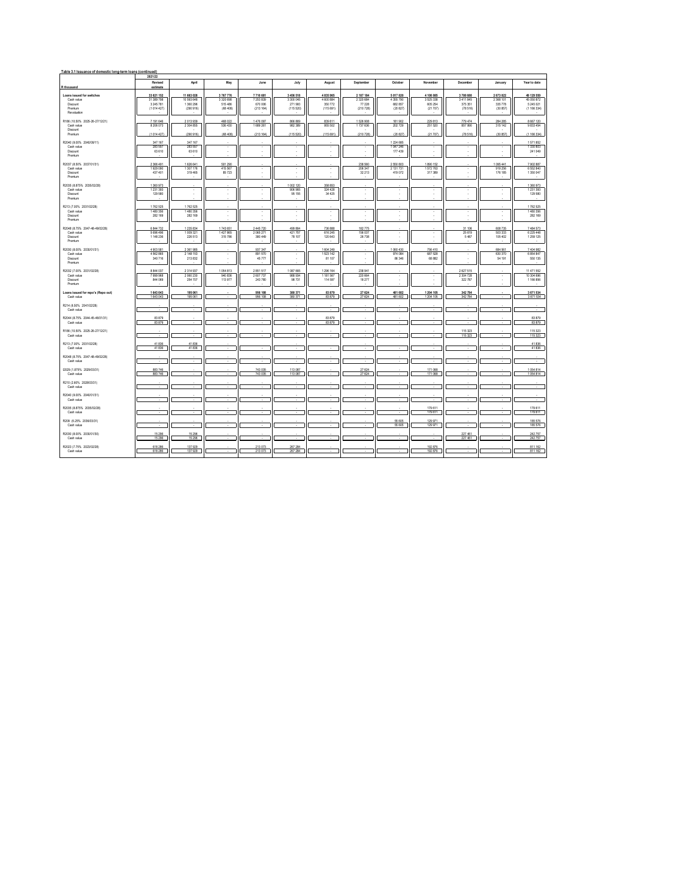| Table 3.1 Issuance of domestic long-term loans (continued)                          |                                                     |                                                    |                                                  |                                             |                                              |                                                   |                                                   |                                                  |                                              |                                             |                                                |                                                      |
|-------------------------------------------------------------------------------------|-----------------------------------------------------|----------------------------------------------------|--------------------------------------------------|---------------------------------------------|----------------------------------------------|---------------------------------------------------|---------------------------------------------------|--------------------------------------------------|----------------------------------------------|---------------------------------------------|------------------------------------------------|------------------------------------------------------|
| R thousand                                                                          | 2021/22<br>Revised<br>estimate                      | April                                              | May                                              | June                                        | July                                         | August                                            | September                                         | October                                          | November                                     | December                                    | January                                        | Year to date                                         |
| Loans issued for switches<br>Cash value<br><b>Discount</b><br>Premum<br>Revaluation | 33 621 152<br>31 389 798<br>3 245 781<br>(1014 427) | 11 663 028<br>10 593 648<br>1 360 296<br>(290 916) | 3767776<br>3 3 2 0 6 9 8<br>515 486<br>(68, 408) | 7710681<br>7 253 839<br>670 006<br>(213164) | 3 456 518<br>3 300 045<br>271993<br>(115520) | 4 8 3 5 9 6 5<br>4 600 884<br>350 772<br>(115691) | 2 187 184<br>2 3 2 0 6 8 4<br>77 228<br>(210 728) | 5 0 1 7 8 20<br>4 355 790<br>682 857<br>(20 827) | 4 108 885<br>3 525 338<br>605 254<br>(21707) | 3708 680<br>3 411 845<br>375 351<br>(78516) | 2 673 022<br>2 3 68 101<br>335 778<br>(30.857) | 49 129 559<br>45 050 872<br>5 245 021<br>(1 166 334) |
| R186 (10.50% 2025-26-27/12/21)<br>Cash value<br>Discount<br>Premium                 | 7 191 646<br>8 206 073<br>(1014 427)                | 2013939<br>2 3 0 4 8 5 5<br>(290 916)              | 468 022<br>536 430<br>(68, 408)                  | 1 476 097<br>1 689 261<br>(213164)          | 866 869<br>982 389<br>(115 520)              | 839 811<br>955 502<br>(115 691)                   | 1 526 908<br>1737 636<br>(210 728)                | 181 902<br>202729<br>(20 827)                    | 229 813<br>251 520<br>(21 707)               | 779 474<br>857990<br>(78516)                | 284 285<br>315 142<br>(30 857)                 | 8 667 120<br>9 833 454<br>(1 166 334)                |
| R2040 (9.00% 2040/09/11)<br>Cash value<br>Discount<br>Premium                       | 347 167<br>283 557<br>63 610                        | 347 167<br>283 557<br>63 610                       | $\epsilon$                                       | $\cdot$<br>×,                               | $\cdot$<br>×,                                | $\cdot$<br>×,                                     | ٠                                                 | 1 2 2 4 6 8 5<br>1 047 246<br>177 439            | $\cdot$                                      | $\sim$<br>$\cdot$                           | $\cdot$                                        | 1571852<br>1 330 803<br>241 049                      |
| R2037 (8.50% 2037/01/31)<br>Cash value<br><b>Discount</b><br>Premium                | 2 3 6 6 4 9 1<br>1929 090<br>437 401                | 1626641<br>1307176<br>319 465                      | 501 290<br>415 567<br>85723                      |                                             | ٠                                            | ٠                                                 | 238 560<br>206 347<br>32 213                      | 2 5 5 0 8 0 3<br>2 131 731<br>419 072            | 1890 152<br>1572763<br>317 389               |                                             | 1095441<br>919 256<br>176 185                  | 7 902 887<br>6 5 5 2 8 4 0<br>1 350 047              |
| R2035 (8.875% 2035/02/28)<br>Cash value<br>Discount<br>Premium                      | 1 360 973<br>1231393<br>129 580                     | $\cdot$                                            | ٠                                                | i,                                          | 1 002 120<br>906 965<br>95 155               | 358 853<br>324 428<br>34 4 25                     | ×                                                 | ٠<br>٠                                           | ٠<br>×,                                      | ٠<br>$\cdot$                                | ×<br>٠                                         | 1 360 973<br>1 231 393<br>129 580                    |
| R213 (7.00% 2031/02/28)<br>Cash value<br>Discount<br>Premium                        | 1762 525<br>1480 356<br>282 169                     | 1762 525<br>1480 356<br>282 169                    | ٠                                                | ٠                                           | ٠                                            | ٠                                                 | ٠                                                 | $\cdot$                                          | $\cdot$                                      | $\cdot$                                     | $\cdot$                                        | 1762 525<br>1,480,356<br>282 169                     |
| R2048 (8.75% 2047-48-49/02/28)<br>Cash value<br>Discount<br>Premium                 | 6 844 732<br>5 6 9 6 4 9 6<br>1 148 236             | 1235834<br>1009321<br>226 513                      | 1743 651<br>1427865<br>315 786                   | 2 445 7 20<br>2 065 271<br>380 449          | 499 864<br>421 757<br>78 107                 | <b>736 888</b><br>616 245<br>120 643              | 182775<br>156 037<br>26 738                       | i,                                               |                                              | 31 106<br>25 6 19<br>5487                   | 608 735<br>503 333<br>105 402                  | 7 484 573<br>6 225 448<br>1 259 1 25                 |
| R2030 (8.00% 2030/01/31)<br>Cash value<br>Discount<br>Premium                       | 4903581<br>4 5 6 2 8 6 5<br>340 716                 | 2 3 6 1 9 8 5<br>2 148 153<br>213 832              | τ                                                | 937 347<br>891570<br>45777                  | τ                                            | 1604 249<br>1523 142<br>81 107                    | ×,                                                | 1060430<br>974 084<br>86 34 6                    | 756 410<br>687 528<br>68882                  | 7                                           | 684 561<br>630 370<br>54 191                   | 7 404 982<br>6 854 847<br>550 135                    |
| R2032 (7.00% 2031/02/28)<br>Cash value<br>Discount<br>Premium                       | 8 8 4 0 3 7<br>7999968<br>844 069                   | 2 3 1 4 9 3 7<br>2060230<br>254 707                | 1054813<br>940 836<br>113977                     | 2851517<br>2 607 737<br>243 780             | 1 087 665<br>988 934<br>98 731               | 1 296 164<br>1 181 567<br>114 597                 | 238 941<br>220 664<br>18 277                      | $\cdot$                                          | i,                                           | 2 627 515<br>2 3 3 4 7 2 8<br>322 787       | $\cdot$                                        | 11 471 552<br>10 304 696<br>1 166 856                |
| Loans issued for repo's (Repo out)<br>Cash value                                    | 1 643 043<br>1 643 043                              | 195 061<br>195,061                                 |                                                  | 956 108<br>956 108                          | 380 371<br>380 371                           | 83 879<br>83,879                                  | 27 624<br>27.624                                  | 481 602<br>481,602                               | 1 204 105<br>1 204 105                       | 342 784<br>342784                           |                                                | 3 671 534<br>3 671 534                               |
| R214 (6.50% 2041/02/28)<br>Cash value                                               |                                                     |                                                    |                                                  |                                             | ٠                                            |                                                   |                                                   | ×,                                               |                                              |                                             |                                                | $\sim$                                               |
| R2044 (8.75% 2044-45-46/01/31)<br>Cash value                                        | 83.879<br>83 879                                    |                                                    |                                                  |                                             |                                              | 83.879<br>83 879                                  |                                                   |                                                  |                                              |                                             |                                                | 83,879<br>83 879                                     |
| R186 (10.50% 2025-26-27/12/21)<br>Cash value                                        |                                                     |                                                    |                                                  |                                             |                                              |                                                   |                                                   |                                                  |                                              | 115.323<br>115,323                          |                                                | 115 323<br>115 323                                   |
| R213 (7.00% 2031/02/28)<br>Cash value                                               | 41 836<br>41,836                                    | 41836<br>41836                                     |                                                  |                                             |                                              |                                                   |                                                   |                                                  |                                              |                                             | $\sim$                                         | 41836<br>41836                                       |
| R2048 (8.75% 2047-48-49/02/28)<br>Cash value                                        |                                                     |                                                    |                                                  |                                             |                                              |                                                   |                                                   |                                                  |                                              |                                             |                                                | $\sim$                                               |
| 12029 (1.875% 2029/03/31)<br>Cash value                                             | 883 746<br>883 746                                  |                                                    |                                                  | 743 035<br>743 035                          | 113 087<br>113,087                           |                                                   | 27 624<br>27 624                                  |                                                  | 171 068<br>171 068                           |                                             |                                                | 1054814<br>1054814                                   |
| R210 (2.60% 2028/03/31)<br>Cash value                                               |                                                     |                                                    |                                                  |                                             |                                              |                                                   |                                                   |                                                  |                                              |                                             |                                                |                                                      |
| R2040 (9.00% 2040/01/31)<br>Cash value                                              |                                                     |                                                    |                                                  |                                             |                                              |                                                   |                                                   | ÷                                                | J.                                           |                                             |                                                | $\sim$                                               |
| R2035 (8.875% 2035/02/28)<br>Cash value                                             |                                                     |                                                    |                                                  |                                             | ٠                                            |                                                   |                                                   | ٠                                                | 179 611<br>179 611                           |                                             | $\sim$                                         | 179 611<br>179 611                                   |
| R209 (6.25% 2036/03/31)<br>Cash value                                               |                                                     |                                                    |                                                  |                                             |                                              |                                                   |                                                   | 55 605<br>55 605                                 | 129 971<br>129 971                           |                                             |                                                | 185 576<br>185 576                                   |
| R2030 (8.00% 2030/01/30)<br>Cash value                                              | 15 29 6<br>15 29 6                                  | 15 2 9 6<br>15.296                                 |                                                  |                                             |                                              |                                                   |                                                   |                                                  |                                              | 227 461<br>227 461                          |                                                | 242 757<br>242 757                                   |
| R2023 (7.75% 2023/02/28)<br>Cash value                                              | 618 286<br>618 286                                  | 137 929<br>137 929                                 |                                                  | 213 073<br>213 073                          | 267 284<br>267 284                           |                                                   |                                                   |                                                  | 192 876<br>192 876                           |                                             |                                                | 811 162<br>811 162                                   |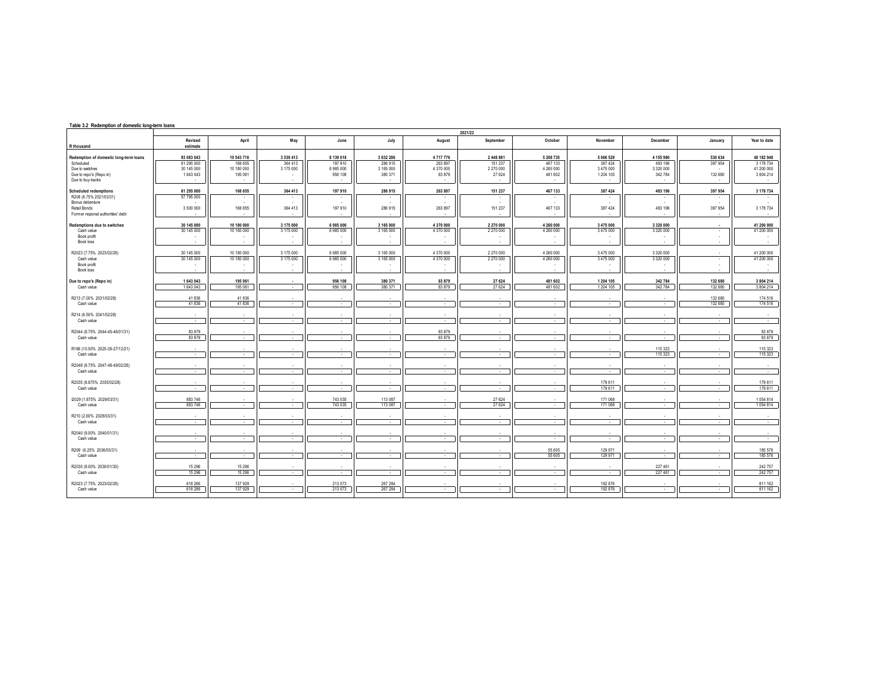## **Table 3.2 Redemption of domestic long-term loans**

|                                                                                                                                 |                                                     |                                                |                                                    |                                              |                                                     |                                           | 2021/22                                                  |                                                    |                                                     |                                                  |                                                                                          |                                                          |
|---------------------------------------------------------------------------------------------------------------------------------|-----------------------------------------------------|------------------------------------------------|----------------------------------------------------|----------------------------------------------|-----------------------------------------------------|-------------------------------------------|----------------------------------------------------------|----------------------------------------------------|-----------------------------------------------------|--------------------------------------------------|------------------------------------------------------------------------------------------|----------------------------------------------------------|
| R thousand                                                                                                                      | Revised<br>estimate                                 | April                                          | May                                                | June                                         | July                                                | August                                    | September                                                | October                                            | November                                            | December                                         | January                                                                                  | Year to date                                             |
| Redemption of domestic long-term loans<br>Scheduled<br>Due to switches<br>Due to repo's (Repo in)<br>Due to buy-backs           | 93 083 043<br>61 295 000<br>30 145 000<br>1 643 043 | 10 543 716<br>168 655<br>10 180 000<br>195 061 | 3 539 413<br>364 413<br>3 175 000<br>$\sim$        | 8 139 018<br>197 910<br>6 985 000<br>956 108 | 3 832 286<br>286 915<br>3 165 000<br>380 371        | 4717776<br>263 897<br>4 370 000<br>83 879 | 2 448 861<br>151 237<br>2 270 000<br>27 624              | 5 208 735<br>467 133<br>4 260 000<br>481 602       | 5 066 529<br>387 424<br>3 475 000<br>1 204 105      | 4 155 980<br>493 196<br>3 3 2 0 0 0 0<br>342 784 | 530 634<br>397 954<br>132 680                                                            | 48 182 948<br>3 178 734<br>41 200 000<br>3 804 214<br>٠. |
| <b>Scheduled redemptions</b><br>R208 (6.75% 2021/03/31)<br>Bonus debenture<br>Retail Bonds<br>Former regional authorities' debt | 61 295 000<br>57 795 000<br>3 500 000               | 168 655<br>168 655                             | 364 413<br>$\sim$<br>364 413                       | 197 910<br>$\sim$<br>197 910                 | 286 915<br>$\overline{\phantom{a}}$<br>×<br>286 915 | 263 897<br>263 897                        | 151 237<br>$\sim$<br>$\overline{\phantom{a}}$<br>151 237 | 467 133<br>467 133                                 | 387 424<br>$\overline{\phantom{a}}$<br>×<br>387 424 | 493 196<br>493 196                               | 397 954<br>$\overline{\phantom{a}}$<br>397 954                                           | 3 178 734<br>$\sim$<br>3 178 734                         |
| Redemptions due to switches<br>Cash value<br>Book profit<br><b>Book loss</b>                                                    | 30 145 000<br>30 145 000<br>$\sim$                  | 10 180 000<br>10 180 000                       | 3 175 000<br>3 175 000<br>$\overline{\phantom{a}}$ | 6985000<br>6 985 000<br>$\sim$               | 3 165 000<br>3 165 000<br>$\overline{\phantom{a}}$  | 4 370 000<br>4 370 000                    | 2 270 000<br>2 270 000<br>$\overline{\phantom{a}}$       | 4 260 000<br>4 260 000<br>$\overline{\phantom{a}}$ | 3 475 000<br>3 475 000<br>$\sim$                    | 3 320 000<br>3 3 2 0 0 0 0                       | $\cdot$<br>$\tilde{\phantom{a}}$<br>$\overline{\phantom{a}}$<br>$\overline{\phantom{a}}$ | 41 200 000<br>41 200 000<br>$\sim$                       |
| R2023 (7.75% 2023/02/28)<br>Cash value<br>Book profit<br><b>Book loss</b>                                                       | 30 145 000<br>30 145 000                            | 10 180 000<br>10 180 000                       | 3 175 000<br>3 175 000                             | 6 985 000<br>6 985 000                       | 3 165 000<br>3 165 000                              | 4 370 000<br>4 370 000                    | 2 270 000<br>2 270 000                                   | 4 260 000<br>4 260 000                             | 3 475 000<br>3 475 000                              | 3 3 2 0 0 0 0<br>3 3 2 0 0 0 0                   | ٠                                                                                        | 41 200 000<br>41 200 000                                 |
| Due to repo's (Repo in)<br>Cash value                                                                                           | 1 643 043<br>1643043                                | 195 061<br>195 061                             | $\sim$                                             | 956 108<br>956 108                           | 380 371<br>380 371                                  | 83 879<br>83 879                          | 27 6 24<br>27 624                                        | 481 602<br>481 602                                 | 1 204 105<br>1 204 105                              | 342 784<br>342 784                               | 132 680<br>132 680                                                                       | 3 804 214<br>3 804 214                                   |
| R213 (7.00% 2031/02/28)<br>Cash value                                                                                           | 41836<br>41836                                      | 41 836<br>41836                                | $\sim$                                             | $\sim$                                       | $\sim$                                              | $\overline{\phantom{a}}$                  | $\sim$                                                   | $\sim$                                             | $\sim$                                              | ٠.                                               | 132 680<br>132 680                                                                       | 174 516<br>174 516                                       |
| R214 (6.50% 2041/02/28)<br>Cash value                                                                                           | ٠.<br>$\sim$                                        | $\sim$                                         | $\sim$                                             | $\sim$                                       | $\sim$                                              | $\sim$                                    | $\sim$                                                   | $\overline{\phantom{a}}$<br>$\sim$                 | $\sim$                                              | $\sim$                                           | $\sim$                                                                                   | $\sim$<br>$\sim$                                         |
| R2044 (8.75% 2044-45-46/01/31)<br>Cash value                                                                                    | 83 879<br>83 879                                    | $\overline{\phantom{a}}$                       | $\sim$                                             | $\sim$                                       | $\sim$                                              | 83 879<br>83 879                          | $\sim$                                                   | $\sim$                                             | $\overline{\phantom{a}}$                            | $\sim$                                           | $\sim$                                                                                   | 83 879<br>83 879                                         |
| R186 (10.50% 2025-26-27/12/21)<br>Cash value                                                                                    | $\sim$                                              |                                                | $\sim$                                             | $\sim$                                       | $\sim$                                              | $\overline{\phantom{a}}$                  | $\overline{\phantom{a}}$                                 | $\sim$                                             | ٠                                                   | 115 323<br>115 323                               | $\sim$                                                                                   | 115 323<br>115 323                                       |
| R2048 (8.75% 2047-48-49/02/28)<br>Cash value                                                                                    | $\sim$                                              | $\sim$                                         | $\sim$                                             | $\sim$                                       | $\sim$                                              | $\overline{\phantom{a}}$                  | $\sim$                                                   | $\overline{\phantom{a}}$<br>$\sim$                 | $\sim$                                              | $\sim$                                           | $\overline{\phantom{a}}$                                                                 | $\sim$<br>$\sim$                                         |
| R2035 (8.875% 2035/02/28)<br>Cash value                                                                                         | $\sim$                                              | $\overline{\phantom{a}}$                       | $\sim$                                             | $\sim$                                       | ٠                                                   | $\overline{\phantom{a}}$                  | $\overline{\phantom{a}}$                                 | $\sim$                                             | 179 611<br>179 611                                  | ٠                                                | $\overline{\phantom{a}}$                                                                 | 179 611<br>179 611                                       |
| I2029 (1.875% 2029/03/31)<br>Cash value                                                                                         | 883 746<br>883746                                   |                                                | ٠                                                  | 743 035<br>743 035                           | 113 087<br>113 087                                  | $\overline{\phantom{a}}$                  | 27 6 24<br>27 6 24                                       | $\sim$                                             | 171 068<br>171 068                                  | ٠                                                | $\sim$                                                                                   | 1054814<br>1054814                                       |
| R210 (2.60% 2028/03/31)<br>Cash value                                                                                           | $\sim$                                              | $\overline{\phantom{a}}$                       | $\sim$                                             | $\sim$                                       | $\sim$                                              | $\overline{\phantom{a}}$                  | ÷.                                                       | $\sim$                                             | $\sim$                                              | $\sim$                                           | $\sim$                                                                                   | P.                                                       |
| R2040 (9.00% 2040/01/31)<br>Cash value                                                                                          | $\sim$                                              | $\sim$                                         | $\sim$                                             | $\sim$                                       | $\sim$                                              | $\sim$                                    | $\sim$                                                   | $\sim$                                             | $\sim$                                              | $\sim$                                           | $\sim$                                                                                   | $\sim$                                                   |
| R209 (6.25% 2036/03/31)<br>Cash value                                                                                           | $\sim$                                              | $\sim$                                         | $\sim$                                             | $\sim$                                       | $\sim$                                              | $\overline{\phantom{a}}$                  | $\sim$                                                   | 55 605<br>55 605                                   | 129 971<br>129 971                                  | $\sim$                                           | $\sim$                                                                                   | 185 576<br>185 576                                       |
| R2030 (8.00% 2030/01/30)<br>Cash value                                                                                          | 15 29 6<br>15 29 6                                  | 15 2 96<br>15 29 6                             | $\sim$                                             | $\sim$                                       | $\sim$                                              | $\sim$                                    | $\sim$                                                   | $\sim$                                             | $\sim$                                              | 227 461<br>227 461                               | $\sim$                                                                                   | 242 757<br>242 757                                       |
| R2023 (7.75% 2023/02/28)<br>Cash value                                                                                          | 618 286<br>618 286                                  | 137 929<br>137 929                             | $\sim$                                             | 213 073<br>213 073                           | 267 284<br>267 284                                  | $\sim$                                    | $\sim$                                                   | $\sim$                                             | 192 876<br>192 876                                  | $\sim$                                           | $\sim$                                                                                   | 811 162<br>811 162                                       |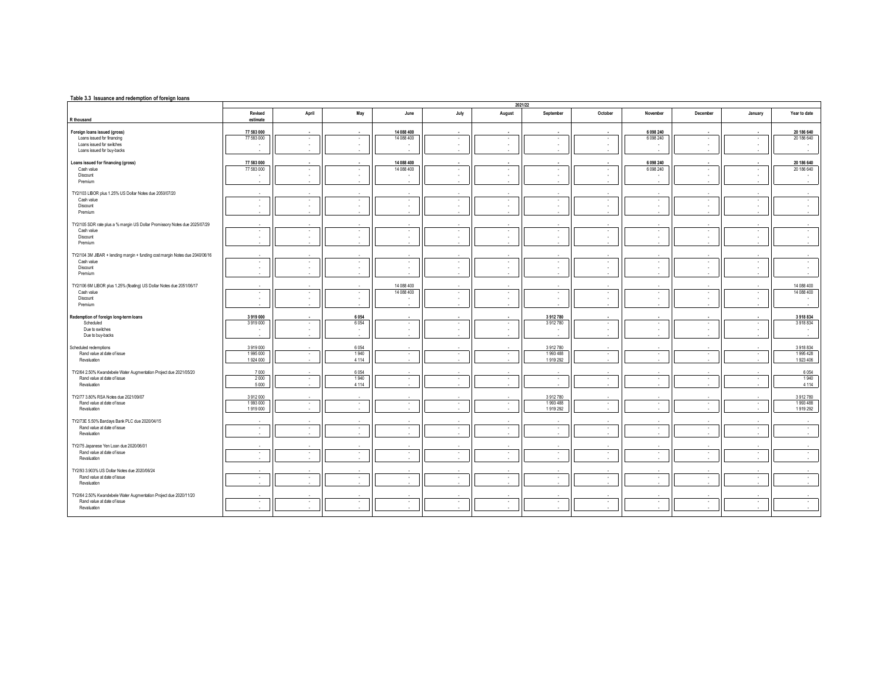| Table 3.3 Issuance and redemption of foreign loans                           |                     |                  |                        |                            |          |               |                     |                        |                  |                        |                                          |                      |
|------------------------------------------------------------------------------|---------------------|------------------|------------------------|----------------------------|----------|---------------|---------------------|------------------------|------------------|------------------------|------------------------------------------|----------------------|
|                                                                              |                     |                  |                        |                            |          |               | 2021/22             |                        |                  |                        |                                          |                      |
| R thousand                                                                   | Revised<br>estimate | April            | May                    | June                       | July     | August        | September           | October                | November         | December               | January                                  | Year to date         |
|                                                                              |                     |                  |                        |                            |          |               |                     |                        |                  |                        |                                          |                      |
| Foreign loans issued (gross)                                                 | 77 583 000          |                  |                        | 14 088 400                 |          |               |                     |                        | 6 098 240        |                        |                                          | 20 186 640           |
| Loans issued for financing                                                   | 77 583 000          | $\sim$           | $\sim$                 | 14 088 400                 | ٠        | ٠             | $\sim$              | $\sim$                 | 6 098 240        | $\sim$                 | $\sim$                                   | 20 186 640           |
| Loans issued for switches<br>Loans issued for buy-backs                      |                     |                  | $\sim$<br>$\sim$       |                            | ٠        | ٠<br>×.       | ٠.                  | $\sim$                 |                  | $\sim$                 | $\overline{\phantom{a}}$                 | $\sim$               |
|                                                                              |                     |                  |                        |                            |          |               |                     |                        |                  |                        |                                          |                      |
| Loans issued for financing (gross)                                           | 77 583 000          |                  |                        | 14 088 400                 |          |               |                     |                        | 6 098 240        |                        |                                          | 20 186 640           |
| Cash value                                                                   | 77 583 000          | $\sim$           | $\sim$                 | 14 088 400                 | ٠        | ٠             | $\sim$              | $\sim$                 | 6 098 240        | $\sim$                 | $\overline{\phantom{a}}$                 | 20 186 640           |
| Discount<br>Premium                                                          |                     |                  | $\sim$<br>$\mathbf{r}$ | $\sim$                     |          | ×.<br>×.      | ×.                  | $\sim$                 |                  | $\sim$                 |                                          | $\sim$               |
|                                                                              |                     |                  |                        |                            |          |               |                     |                        |                  |                        |                                          |                      |
| TY2/103 LIBOR plus 1.25% US Dollar Notes due 2050/07/20                      |                     |                  |                        |                            |          |               |                     |                        |                  |                        |                                          |                      |
| Cash value                                                                   | $\sim$              | $\sim$           | $\sim$                 | $\sim$                     | ٠        | ٠             | $\sim$              | $\sim$                 | $\sim$           | $\sim$                 | $\overline{\phantom{a}}$                 | $\sim$               |
| Discount<br>Premium                                                          | $\sim$              | $\sim$           | $\sim$                 | $\cdot$<br>$\sim$          | ×,       | ×.            | ×.                  | $\sim$                 | ×.               | $\sim$                 | $\mathbf{r}$                             | $\sim$               |
|                                                                              |                     |                  |                        |                            |          |               |                     |                        |                  |                        |                                          |                      |
| TY2/105 SDR rate plus a % margin US Dollar Promissory Notes due 2025/07/29   |                     |                  |                        |                            |          |               |                     |                        |                  |                        |                                          |                      |
| Cash value<br>Discount                                                       | ٠<br>$\sim$         | $\sim$<br>$\sim$ | $\sim$<br>$\sim$       | $\sim$<br>$\sim$           | ٠<br>×.  | ٠<br>٠        | ٠.<br>$\sim$        | $\sim$<br>$\mathbf{r}$ | ٠.<br>$\sim$     | $\sim$<br>$\mathbf{r}$ | . .                                      | $\epsilon$<br>$\sim$ |
| Premium                                                                      |                     |                  |                        | ×.                         |          | ٠             |                     |                        |                  |                        |                                          |                      |
|                                                                              |                     |                  |                        |                            |          |               |                     |                        |                  |                        |                                          |                      |
| TY2/104 3M JIBAR + lending margin + funding cost margin Notes due 2040/06/16 |                     |                  |                        |                            |          |               |                     |                        |                  |                        |                                          |                      |
| Cash value                                                                   | $\sim$<br>$\sim$    | $\sim$<br>$\sim$ | $\sim$                 | $\sim$                     | ٠<br>÷.  | ×.            | $\sim$<br>$\sim$    | $\sim$<br>$\mathbf{r}$ | $\sim$<br>$\sim$ | $\sim$<br>$\mathbf{r}$ | $\epsilon$<br>$\mathbf{r}$               | $\sim$<br>$\sim$     |
| Discount<br>Premium                                                          |                     |                  | $\sim$                 | $\sim$                     |          | ٠             |                     |                        |                  |                        |                                          |                      |
|                                                                              |                     |                  |                        |                            |          |               |                     |                        |                  |                        |                                          |                      |
| TY2/106 6M LIBOR plus 1.25% (floating) US Dollar Notes due 2051/06/17        |                     |                  |                        | 14 088 400                 |          |               |                     |                        |                  |                        |                                          | 14 088 400           |
| Cash value<br>Discount                                                       | $\sim$<br>×.        | $\sim$<br>$\sim$ | $\sim$<br>$\sim$       | 14 088 400<br>$\mathbf{r}$ | ٠<br>×.  | ٠<br>٠        | $\sim$<br>×.        | $\sim$<br>$\mathbf{r}$ | $\sim$<br>$\sim$ | $\sim$<br>$\sim$       | $\overline{\phantom{a}}$<br>$\mathbf{r}$ | 14 088 400<br>$\sim$ |
| Premium                                                                      |                     |                  | $\mathbf{r}$           | ٠                          | ×.       | ٠             |                     |                        |                  |                        |                                          | $\sim$               |
|                                                                              |                     |                  |                        |                            |          |               |                     |                        |                  |                        |                                          |                      |
| Redemption of foreign long-term loans                                        | 3919000             |                  | 6054                   |                            |          |               | 3912780             |                        |                  |                        |                                          | 3918834              |
| Scheduled<br>Due to switches                                                 | 3919000<br>$\sim$   | $\sim$<br>$\sim$ | 6054<br>$\sim$         | $\sim$<br>$\sim$           | ٠<br>٠   | ٠<br>×.       | 3912780<br><b>.</b> | $\sim$<br>$\sim$       | $\sim$<br>$\sim$ | $\sim$<br>$\sim$       | $\sim$<br>$\sim$                         | 3918834<br>$\sim$    |
| Due to buy-backs                                                             |                     |                  |                        |                            |          |               |                     |                        |                  |                        |                                          |                      |
|                                                                              |                     |                  |                        |                            |          |               |                     |                        |                  |                        |                                          |                      |
| Scheduled redemptions<br>Rand value at date of issue                         | 3919000<br>1995000  |                  | 6054<br>1940           |                            |          |               | 3912780<br>1993 488 |                        |                  |                        |                                          | 3918834<br>1995428   |
| Revaluation                                                                  | 1 924 000           | $\sim$           | 4 1 1 4                | $\cdot$<br>$\sim$          | ٠        | ٠             | 1919292             | $\sim$                 | $\sim$           | $\sim$                 | $\sim$                                   | 1923 406             |
|                                                                              |                     |                  |                        |                            |          |               |                     |                        |                  |                        |                                          |                      |
| TY2/64 2.50% Kwandebele Water Augmentation Project due 2021/05/20            | 7000                |                  | 6054                   |                            |          |               |                     |                        |                  |                        |                                          | 6054                 |
| Rand value at date of issue<br>Revaluation                                   | 2000<br>5 0 0 0     | $\sim$           | 1940<br>4 1 1 4        | $\sim$<br>×.               | ٠        | ٠<br>×.       | $\sim$              | $\sim$                 | $\sim$           | $\sim$                 | $\sim$                                   | 1940<br>4 1 1 4      |
|                                                                              |                     |                  |                        |                            |          |               |                     |                        |                  |                        |                                          |                      |
| TY2/77 3.80% RSA Notes due 2021/09/07                                        | 3912000             |                  |                        |                            |          |               | 3912780             |                        |                  |                        |                                          | 3912780              |
| Rand value at date of issue<br>Revaluation                                   | 1993000<br>1919000  | $\sim$<br>$\sim$ | $\sim$<br>$\sim$       | $\epsilon$<br>$\sim$       | ×,<br>÷. | $\cdot$<br>×. | 1993488<br>1919 292 | $\sim$<br>$\mathbf{r}$ | $\sim$<br>i.     | $\sim$<br>$\sim$       | $\cdot$                                  | 1993488<br>1919 292  |
|                                                                              |                     |                  |                        |                            |          |               |                     |                        |                  |                        |                                          |                      |
| TY2/73E 5.50% Bardays Bank PLC due 2020/04/15                                |                     |                  |                        |                            |          |               |                     |                        |                  |                        |                                          |                      |
| Rand value at date of issue                                                  | $\sim$              | $\sim$           | $\sim$                 | $\sim$                     | ٠        | $\sim$        | $\sim$              | $\sim$                 | $\sim$           | $\sim$                 | $\sim$                                   | $\sim$               |
| Revaluation                                                                  |                     |                  |                        | ٠                          |          |               |                     |                        |                  |                        |                                          |                      |
| TY2/75 Japanese Yen Loan due 2020/06/01                                      |                     |                  |                        |                            |          |               |                     |                        |                  |                        |                                          |                      |
| Rand value at date of issue                                                  | $\sim$              | $\sim$           | $\sim$                 | $\sim$                     | ٠        | $\cdot$       | $\sim$              | $\sim$                 | $\sim$           | $\sim$                 | $\epsilon$                               | $\sim$               |
| Revaluation                                                                  |                     |                  | $\sim$                 | $\sim$                     |          |               |                     |                        |                  |                        |                                          |                      |
| TY2/93 3.903% US Dollar Notes due 2020/06/24                                 |                     |                  |                        |                            |          |               |                     |                        |                  |                        |                                          |                      |
| Rand value at date of issue                                                  | $\sim$              | $\sim$           | $\sim$                 | $\cdot$                    | ٠        | ٠             | $\sim$              | $\sim$                 | $\sim$           | $\sim$                 | $\cdot$                                  | $\sim$               |
| Revaluation                                                                  |                     |                  | ×.                     | ×.                         |          | ×.            |                     |                        |                  |                        |                                          |                      |
| TY2/64 2.50% Kwandebele Water Augmentation Project due 2020/11/20            |                     |                  |                        |                            |          |               |                     |                        |                  |                        |                                          |                      |
| Rand value at date of issue                                                  | $\mathbf{r}$        | $\sim$           | $\sim$                 | $\sim$                     | ×.       | ٠             | $\sim$              | $\sim$                 | $\sim$           | $\sim$                 | $\overline{\phantom{a}}$                 | $\sim$               |
| Revaluation                                                                  | $\sim$              | $\sim$           | $\sim$                 | $\sim$                     | ×.       | ×.            | $\sim$              | $\sim$                 | $\sim$           | $\mathbf{r}$           |                                          | $\sim$               |
|                                                                              |                     |                  |                        |                            |          |               |                     |                        |                  |                        |                                          |                      |